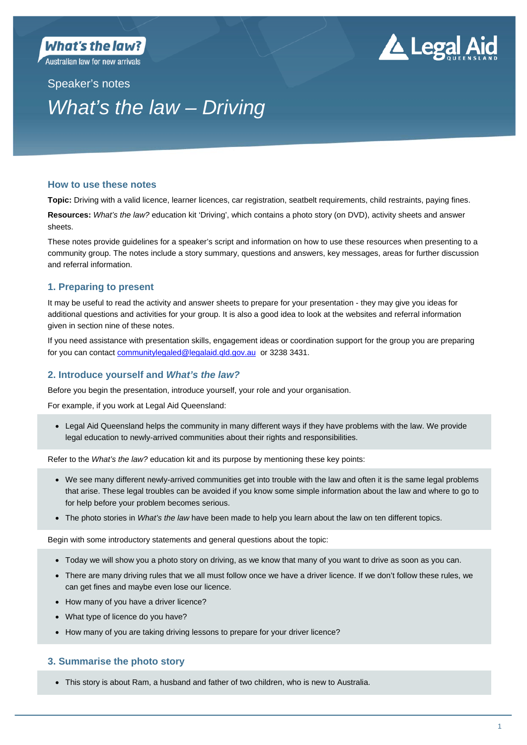**Australian law for new arrivals** 

# **4** Legal Aid

# Speaker's notes *What's the law – Driving*

# **How to use these notes**

**Topic:** Driving with a valid licence, learner licences, car registration, seatbelt requirements, child restraints, paying fines.

**Resources:** *What's the law?* education kit 'Driving', which contains a photo story (on DVD), activity sheets and answer sheets.

These notes provide guidelines for a speaker's script and information on how to use these resources when presenting to a community group. The notes include a story summary, questions and answers, key messages, areas for further discussion and referral information.

# **1. Preparing to present**

It may be useful to read the activity and answer sheets to prepare for your presentation - they may give you ideas for additional questions and activities for your group. It is also a good idea to look at the websites and referral information given in section nine of these notes.

If you need assistance with presentation skills, engagement ideas or coordination support for the group you are preparing for you can contact communitylegaled@legalaid.qld.gov.au or 3238 3431.

# **2. Introduce yourself and** *What's the law?*

Before you begin the presentation, introduce yourself, your role and your organisation.

For example, if you work at Legal Aid Queensland:

 Legal Aid Queensland helps the community in many different ways if they have problems with the law. We provide legal education to newly-arrived communities about their rights and responsibilities.

Refer to the *What's the law?* education kit and its purpose by mentioning these key points:

- We see many different newly-arrived communities get into trouble with the law and often it is the same legal problems that arise. These legal troubles can be avoided if you know some simple information about the law and where to go to for help before your problem becomes serious.
- The photo stories in *What's the law* have been made to help you learn about the law on ten different topics.

Begin with some introductory statements and general questions about the topic:

- Today we will show you a photo story on driving, as we know that many of you want to drive as soon as you can.
- There are many driving rules that we all must follow once we have a driver licence. If we don't follow these rules, we can get fines and maybe even lose our licence.
- How many of you have a driver licence?
- What type of licence do you have?
- How many of you are taking driving lessons to prepare for your driver licence?

# **3. Summarise the photo story**

This story is about Ram, a husband and father of two children, who is new to Australia.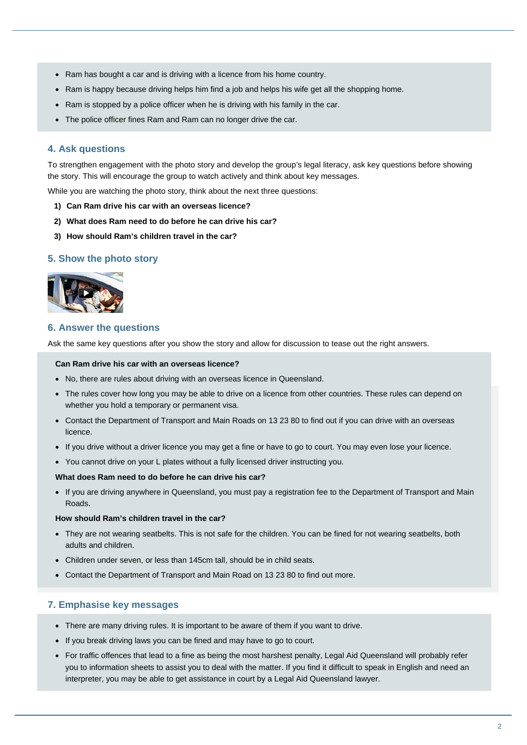- Ram has bought a car and is driving with a licence from his home country.
- Ram is happy because driving helps him find a job and helps his wife get all the shopping home.
- Ram is stopped by a police officer when he is driving with his family in the car.
- The police officer fines Ram and Ram can no longer drive the car.

# **4. Ask questions**

To strengthen engagement with the photo story and develop the group's legal literacy, ask key questions before showing the story. This will encourage the group to watch actively and think about key messages.

While you are watching the photo story, think about the next three questions:

- **1) Can Ram drive his car with an overseas licence?**
- **2) What does Ram need to do before he can drive his car?**
- **3) How should Ram's children travel in the car?**

### **5. Show the photo story**



#### **6. Answer the questions**

Ask the same key questions after you show the story and allow for discussion to tease out the right answers.

#### **Can Ram drive his car with an overseas licence?**

- No, there are rules about driving with an overseas licence in Queensland.
- The rules cover how long you may be able to drive on a licence from other countries. These rules can depend on whether you hold a temporary or permanent visa.
- Contact the Department of Transport and Main Roads on 13 23 80 to find out if you can drive with an overseas licence.
- If you drive without a driver licence you may get a fine or have to go to court. You may even lose your licence.
- You cannot drive on your L plates without a fully licensed driver instructing you.

#### **What does Ram need to do before he can drive his car?**

 If you are driving anywhere in Queensland, you must pay a registration fee to the Department of Transport and Main Roads.

#### **How should Ram's children travel in the car?**

- They are not wearing seatbelts. This is not safe for the children. You can be fined for not wearing seatbelts, both adults and children.
- Children under seven, or less than 145cm tall, should be in child seats.
- Contact the Department of Transport and Main Road on 13 23 80 to find out more.

# **7. Emphasise key messages**

- There are many driving rules. It is important to be aware of them if you want to drive.
- If you break driving laws you can be fined and may have to go to court.
- For traffic offences that lead to a fine as being the most harshest penalty, Legal Aid Queensland will probably refer you to information sheets to assist you to deal with the matter. If you find it difficult to speak in English and need an interpreter, you may be able to get assistance in court by a Legal Aid Queensland lawyer.